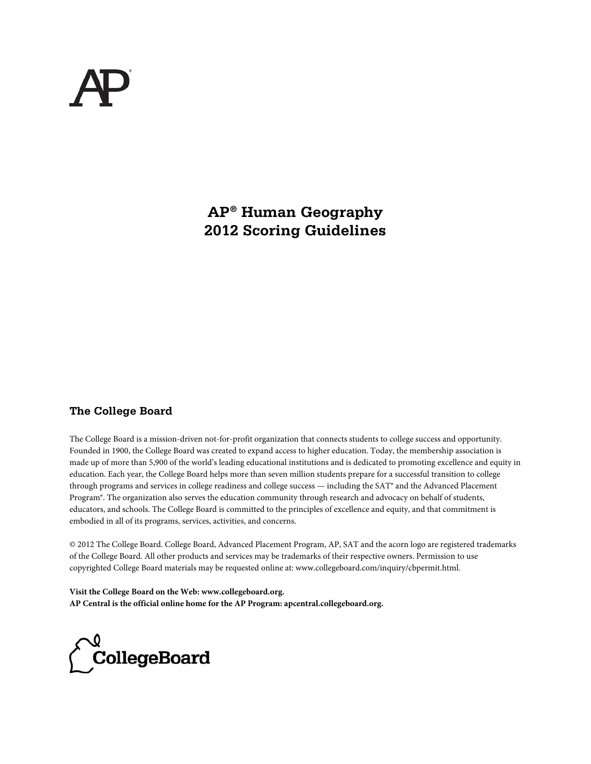**AP® Human Geography 2012 Scoring Guidelines** 

## **The College Board**

The College Board is a mission-driven not-for-profit organization that connects students to college success and opportunity. Founded in 1900, the College Board was created to expand access to higher education. Today, the membership association is made up of more than 5,900 of the world's leading educational institutions and is dedicated to promoting excellence and equity in education. Each year, the College Board helps more than seven million students prepare for a successful transition to college through programs and services in college readiness and college success — including the SAT® and the Advanced Placement Program®. The organization also serves the education community through research and advocacy on behalf of students, educators, and schools. The College Board is committed to the principles of excellence and equity, and that commitment is embodied in all of its programs, services, activities, and concerns.

© 2012 The College Board. College Board, Advanced Placement Program, AP, SAT and the acorn logo are registered trademarks of the College Board. All other products and services may be trademarks of their respective owners. Permission to use copyrighted College Board materials may be requested online at: www.collegeboard.com/inquiry/cbpermit.html.

**Visit the College Board on the Web: www.collegeboard.org. AP Central is the official online home for the AP Program: apcentral.collegeboard.org.**

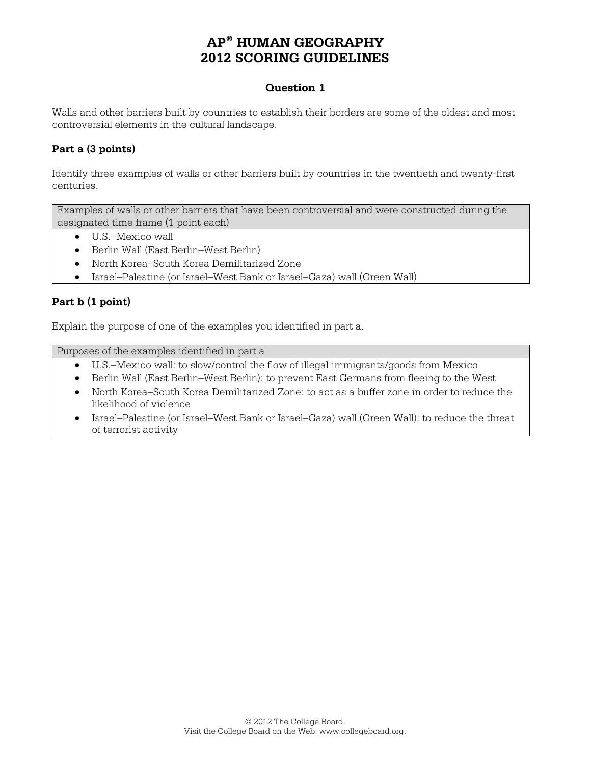#### **Question 1**

Walls and other barriers built by countries to establish their borders are some of the oldest and most controversial elements in the cultural landscape.

#### **Part a (3 points)**

Identify three examples of walls or other barriers built by countries in the twentieth and twenty-first centuries.

Examples of walls or other barriers that have been controversial and were constructed during the designated time frame (1 point each)

- U.S.–Mexico wall
- Berlin Wall (East Berlin–West Berlin)
- North Korea–South Korea Demilitarized Zone
- Israel–Palestine (or Israel–West Bank or Israel–Gaza) wall (Green Wall)

#### **Part b (1 point)**

Explain the purpose of one of the examples you identified in part a.

Purposes of the examples identified in part a

- U.S.–Mexico wall: to slow/control the flow of illegal immigrants/goods from Mexico
- Berlin Wall (East Berlin–West Berlin): to prevent East Germans from fleeing to the West
- North Korea–South Korea Demilitarized Zone: to act as a buffer zone in order to reduce the likelihood of violence
- Israel–Palestine (or Israel–West Bank or Israel–Gaza) wall (Green Wall): to reduce the threat of terrorist activity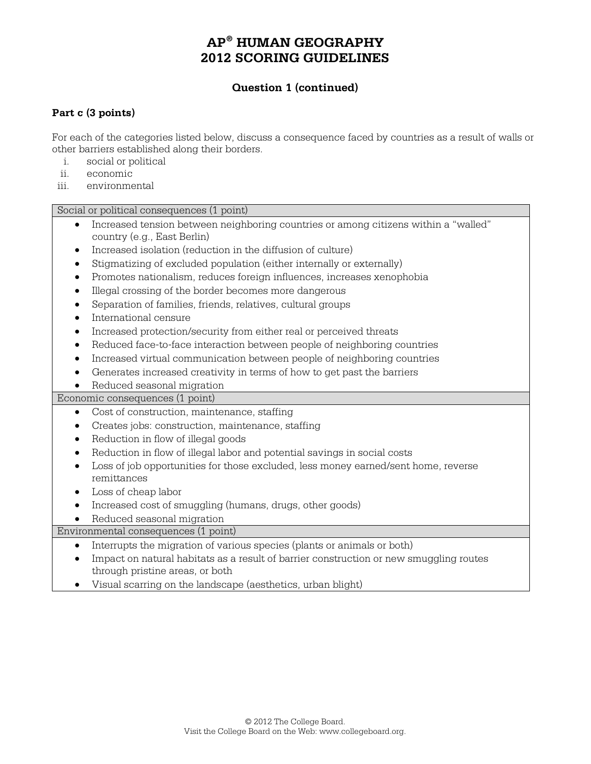## **Question 1 (continued)**

#### **Part c (3 points)**

For each of the categories listed below, discuss a consequence faced by countries as a result of walls or other barriers established along their borders.

- i. social or political
- ii. economic
- iii. environmental

Social or political consequences (1 point)

- Increased tension between neighboring countries or among citizens within a "walled" country (e.g., East Berlin)
- Increased isolation (reduction in the diffusion of culture)
- Stigmatizing of excluded population (either internally or externally)
- Promotes nationalism, reduces foreign influences, increases xenophobia
- Illegal crossing of the border becomes more dangerous
- Separation of families, friends, relatives, cultural groups
- International censure
- Increased protection/security from either real or perceived threats
- Reduced face-to-face interaction between people of neighboring countries
- Increased virtual communication between people of neighboring countries
- Generates increased creativity in terms of how to get past the barriers
- Reduced seasonal migration

Economic consequences (1 point)

- Cost of construction, maintenance, staffing
- Creates jobs: construction, maintenance, staffing
- Reduction in flow of illegal goods
- Reduction in flow of illegal labor and potential savings in social costs
- Loss of job opportunities for those excluded, less money earned/sent home, reverse remittances
- Loss of cheap labor
- Increased cost of smuggling (humans, drugs, other goods)
- Reduced seasonal migration

Environmental consequences (1 point)

- Interrupts the migration of various species (plants or animals or both)
- Impact on natural habitats as a result of barrier construction or new smuggling routes through pristine areas, or both
- Visual scarring on the landscape (aesthetics, urban blight)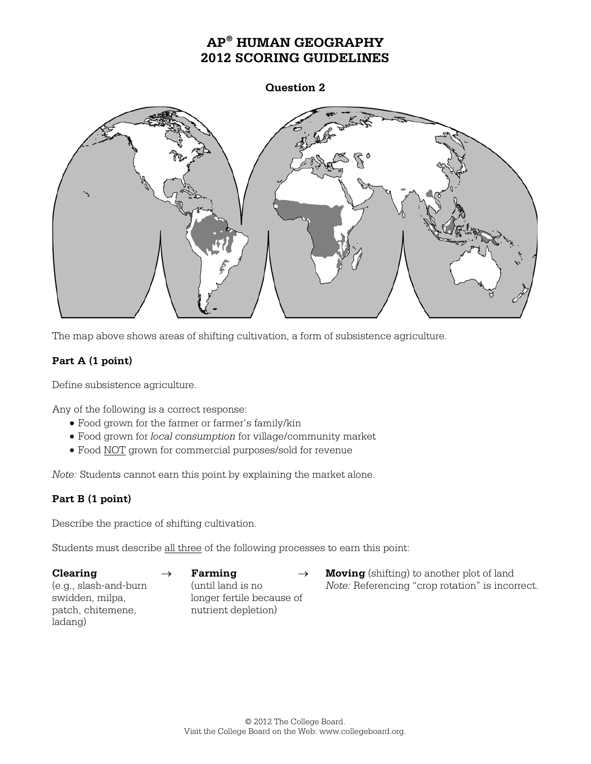**Question 2**



The map above shows areas of shifting cultivation, a form of subsistence agriculture.

## **Part A (1 point)**

Define subsistence agriculture.

Any of the following is a correct response:

- Food grown for the farmer or farmer's family/kin
- Food grown for *local consumption* for village/community market
- Food NOT grown for commercial purposes/sold for revenue

*Note:* Students cannot earn this point by explaining the market alone.

## **Part B (1 point)**

Describe the practice of shifting cultivation.

Students must describe all three of the following processes to earn this point:

patch, chitemene, mutrient depletion) ladang)

swidden, milpa, longer fertile because of

**Clearing** → **Farming** → **Moving** (shifting) to another plot of land (e.g., slash-and-burn (until land is no *Note:* Referencing "crop rotation" is incorrect.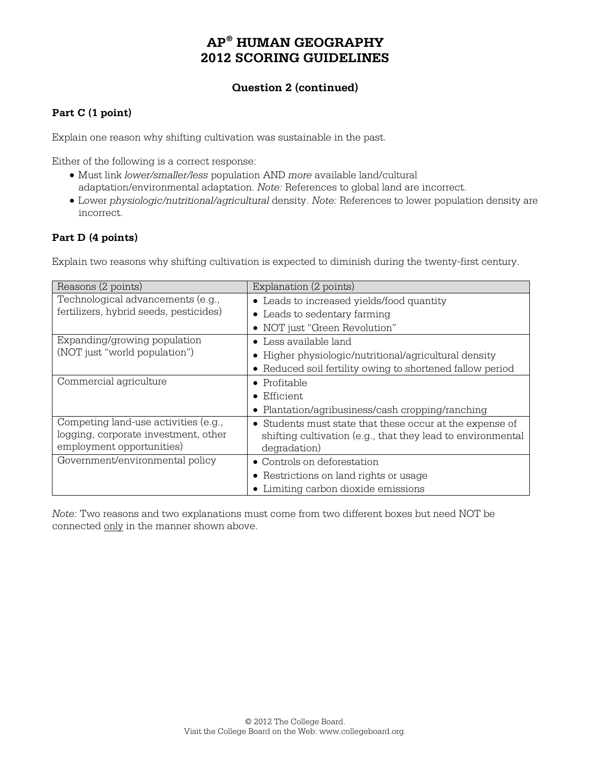## **Question 2 (continued)**

#### **Part C (1 point)**

Explain one reason why shifting cultivation was sustainable in the past.

Either of the following is a correct response:

- Must link *lower/smaller/less* population AND *more* available land/cultural adaptation/environmental adaptation. *Note:* References to global land are incorrect.
- Lower *physiologic/nutritional/agricultural* density. *Note:* References to lower population density are incorrect.

#### **Part D (4 points)**

Explain two reasons why shifting cultivation is expected to diminish during the twenty-first century.

| Reasons (2 points)                     | Explanation (2 points)                                      |
|----------------------------------------|-------------------------------------------------------------|
| Technological advancements (e.g.,      | • Leads to increased yields/food quantity                   |
| fertilizers, hybrid seeds, pesticides) | • Leads to sedentary farming                                |
|                                        | • NOT just "Green Revolution"                               |
| Expanding/growing population           | $\bullet$ Less available land                               |
| (NOT just "world population")          | • Higher physiologic/nutritional/agricultural density       |
|                                        | • Reduced soil fertility owing to shortened fallow period   |
| Commercial agriculture                 | $\bullet$ Profitable                                        |
|                                        | $\bullet$ Efficient                                         |
|                                        | • Plantation/agribusiness/cash cropping/ranching            |
| Competing land-use activities (e.g.,   | • Students must state that these occur at the expense of    |
| logging, corporate investment, other   | shifting cultivation (e.g., that they lead to environmental |
| employment opportunities)              | degradation)                                                |
| Government/environmental policy        | • Controls on deforestation                                 |
|                                        | • Restrictions on land rights or usage                      |
|                                        | Limiting carbon dioxide emissions                           |

*Note:* Two reasons and two explanations must come from two different boxes but need NOT be connected only in the manner shown above.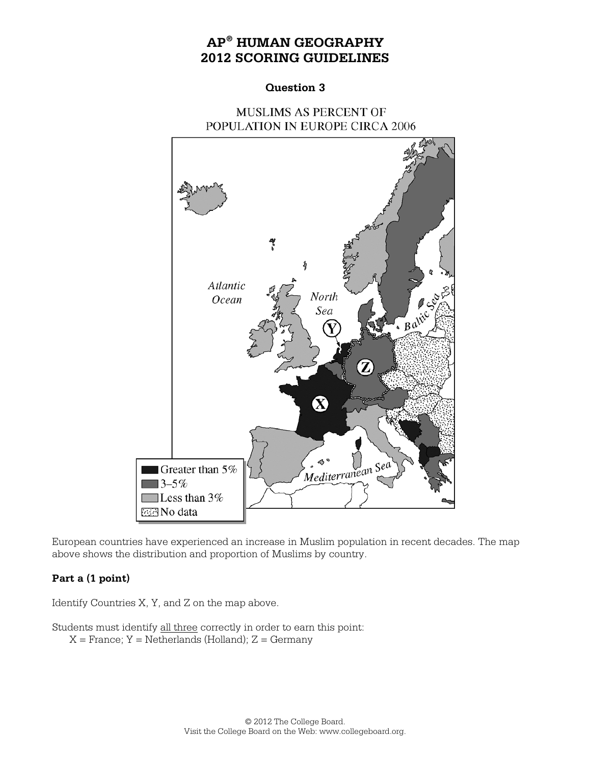#### **Question 3**

# **MUSLIMS AS PERCENT OF** POPULATION IN EUROPE CIRCA 2006



European countries have experienced an increase in Muslim population in recent decades. The map above shows the distribution and proportion of Muslims by country.

## **Part a (1 point)**

Identify Countries X, Y, and Z on the map above.

Students must identify all three correctly in order to earn this point:  $X =$  France;  $Y =$  Netherlands (Holland);  $Z =$  Germany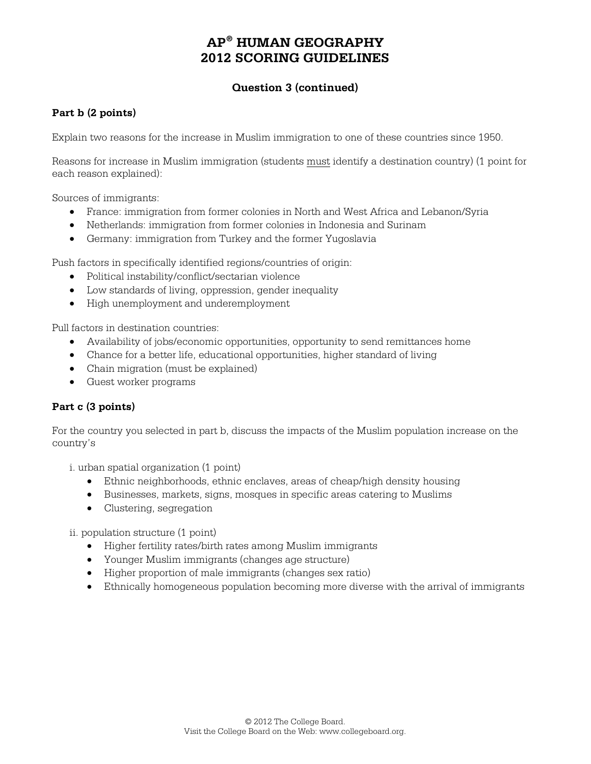# **Question 3 (continued)**

#### **Part b (2 points)**

Explain two reasons for the increase in Muslim immigration to one of these countries since 1950.

Reasons for increase in Muslim immigration (students must identify a destination country) (1 point for each reason explained):

Sources of immigrants:

- France: immigration from former colonies in North and West Africa and Lebanon/Syria
- Netherlands: immigration from former colonies in Indonesia and Surinam
- Germany: immigration from Turkey and the former Yugoslavia

Push factors in specifically identified regions/countries of origin:

- Political instability/conflict/sectarian violence
- Low standards of living, oppression, gender inequality
- High unemployment and underemployment

Pull factors in destination countries:

- Availability of jobs/economic opportunities, opportunity to send remittances home
- Chance for a better life, educational opportunities, higher standard of living
- Chain migration (must be explained)
- Guest worker programs

#### **Part c (3 points)**

For the country you selected in part b, discuss the impacts of the Muslim population increase on the country's

i. urban spatial organization (1 point)

- Ethnic neighborhoods, ethnic enclaves, areas of cheap/high density housing
- Businesses, markets, signs, mosques in specific areas catering to Muslims
- Clustering, segregation

ii. population structure (1 point)

- Higher fertility rates/birth rates among Muslim immigrants
- Younger Muslim immigrants (changes age structure)
- Higher proportion of male immigrants (changes sex ratio)
- Ethnically homogeneous population becoming more diverse with the arrival of immigrants